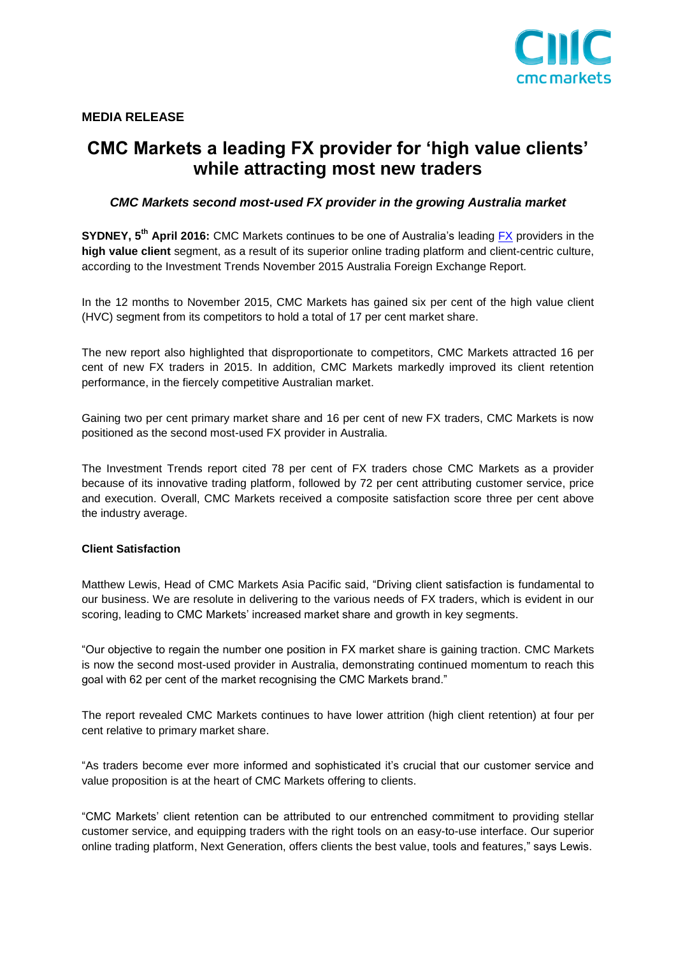

# **CMC Markets a leading FX provider for 'high value clients' while attracting most new traders**

## *CMC Markets second most-used FX provider in the growing Australia market*

**SYDNEY, 5<sup>th</sup> April 2016:** CMC Markets continues to be one of Australia's leading **FX** providers in the **high value client** segment, as a result of its superior online trading platform and client-centric culture, according to the Investment Trends November 2015 Australia Foreign Exchange Report.

In the 12 months to November 2015, CMC Markets has gained six per cent of the high value client (HVC) segment from its competitors to hold a total of 17 per cent market share.

The new report also highlighted that disproportionate to competitors, CMC Markets attracted 16 per cent of new FX traders in 2015. In addition, CMC Markets markedly improved its client retention performance, in the fiercely competitive Australian market.

Gaining two per cent primary market share and 16 per cent of new FX traders, CMC Markets is now positioned as the second most-used FX provider in Australia.

The Investment Trends report cited 78 per cent of FX traders chose CMC Markets as a provider because of its innovative trading platform, followed by 72 per cent attributing customer service, price and execution. Overall, CMC Markets received a composite satisfaction score three per cent above the industry average.

## **Client Satisfaction**

Matthew Lewis, Head of CMC Markets Asia Pacific said, "Driving client satisfaction is fundamental to our business. We are resolute in delivering to the various needs of FX traders, which is evident in our scoring, leading to CMC Markets' increased market share and growth in key segments.

"Our objective to regain the number one position in FX market share is gaining traction. CMC Markets is now the second most-used provider in Australia, demonstrating continued momentum to reach this goal with 62 per cent of the market recognising the CMC Markets brand."

The report revealed CMC Markets continues to have lower attrition (high client retention) at four per cent relative to primary market share.

"As traders become ever more informed and sophisticated it's crucial that our customer service and value proposition is at the heart of CMC Markets offering to clients.

"CMC Markets' client retention can be attributed to our entrenched commitment to providing stellar customer service, and equipping traders with the right tools on an easy-to-use interface. Our superior online trading platform, Next Generation, offers clients the best value, tools and features," says Lewis.